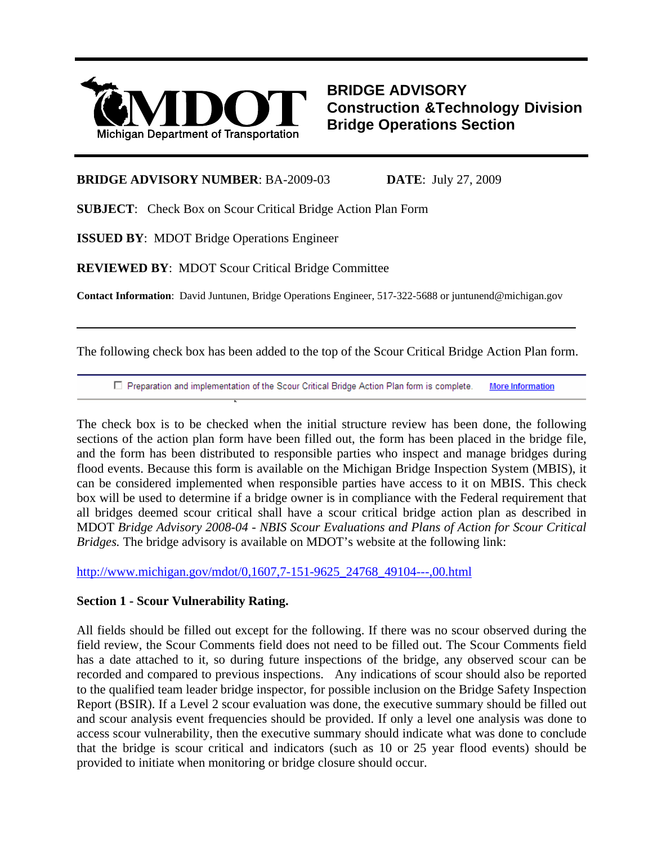

**BRIDGE ADVISORY Construction &Technology Division Bridge Operations Section**

### **BRIDGE ADVISORY NUMBER**: BA-2009-03 **DATE**: July 27, 2009

**SUBJECT**: Check Box on Scour Critical Bridge Action Plan Form

**ISSUED BY**: MDOT Bridge Operations Engineer

 $\overline{a}$ 

**REVIEWED BY**: MDOT Scour Critical Bridge Committee

**Contact Information**: David Juntunen, Bridge Operations Engineer, 517-322-5688 or juntunend@michigan.gov

The following check box has been added to the top of the Scour Critical Bridge Action Plan form.

□ Preparation and implementation of the Scour Critical Bridge Action Plan form is complete. **More Information** 

The check box is to be checked when the initial structure review has been done, the following sections of the action plan form have been filled out, the form has been placed in the bridge file, and the form has been distributed to responsible parties who inspect and manage bridges during flood events. Because this form is available on the Michigan Bridge Inspection System (MBIS), it can be considered implemented when responsible parties have access to it on MBIS. This check box will be used to determine if a bridge owner is in compliance with the Federal requirement that all bridges deemed scour critical shall have a scour critical bridge action plan as described in MDOT *Bridge Advisory 2008-04 - NBIS Scour Evaluations and Plans of Action for Scour Critical Bridges.* The bridge advisory is available on MDOT's website at the following link:

[http://www.michigan.gov/mdot/0,1607,7-151-9625\\_24768\\_49104---,00.html](http://www.michigan.gov/mdot/0,1607,7-151-9625_24768_49104---,00.html)

# **Section 1 - Scour Vulnerability Rating.**

All fields should be filled out except for the following. If there was no scour observed during the field review, the Scour Comments field does not need to be filled out. The Scour Comments field has a date attached to it, so during future inspections of the bridge, any observed scour can be recorded and compared to previous inspections. Any indications of scour should also be reported to the qualified team leader bridge inspector, for possible inclusion on the Bridge Safety Inspection Report (BSIR). If a Level 2 scour evaluation was done, the executive summary should be filled out and scour analysis event frequencies should be provided. If only a level one analysis was done to access scour vulnerability, then the executive summary should indicate what was done to conclude that the bridge is scour critical and indicators (such as 10 or 25 year flood events) should be provided to initiate when monitoring or bridge closure should occur.